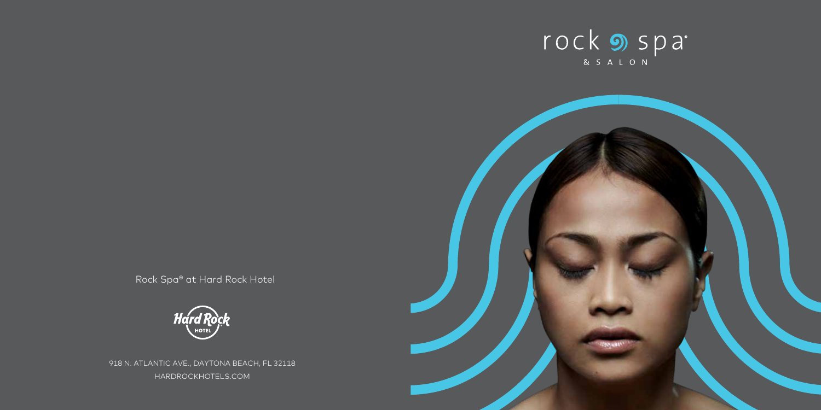



Rock Spa® at Hard Rock Hotel



918 N. ATLANTIC AVE., DAYTONA BEACH, FL 32118 HARDROCKHOTELS.COM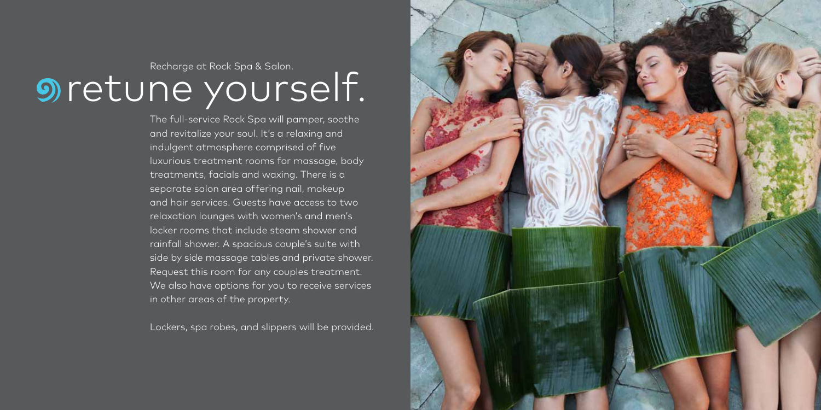# **Sucharge at Rock Spa & Salon. Super Structure Limited** Section.

The full-service Rock Spa will pamper, soothe and revitalize your soul. It's a relaxing and indulgent atmosphere comprised of five luxurious treatment rooms for massage, body treatments, facials and waxing. There is a separate salon area offering nail, makeup and hair services. Guests have access to two relaxation lounges with women's and men's locker rooms that include steam shower and rainfall shower. A spacious couple's suite with side by side massage tables and private shower. Request this room for any couples treatment. We also have options for you to receive services in other areas of the property.

Lockers, spa robes, and slippers will be provided.

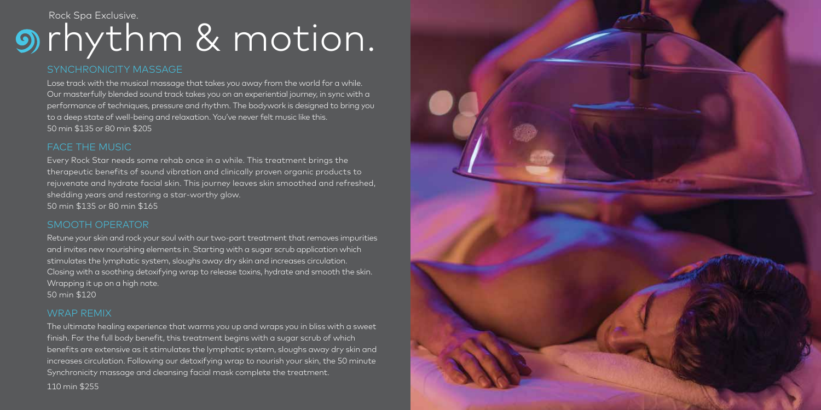### rhythm & motion. Rock Spa Exclusive.

#### SYNCHRONICITY MASSAGE

Lose track with the musical massage that takes you away from the world for a while. Our masterfully blended sound track takes you on an experiential journey, in sync with a performance of techniques, pressure and rhythm. The bodywork is designed to bring you to a deep state of well-being and relaxation. You've never felt music like this. 50 min \$135 or 80 min \$205

#### FACE THE MUSIC

Every Rock Star needs some rehab once in a while. This treatment brings the therapeutic benefits of sound vibration and clinically proven organic products to rejuvenate and hydrate facial skin. This journey leaves skin smoothed and refreshed, shedding years and restoring a star-worthy glow. 50 min \$135 or 80 min \$165

#### SMOOTH OPERATOR

Retune your skin and rock your soul with our two-part treatment that removes impurities and invites new nourishing elements in. Starting with a sugar scrub application which stimulates the lymphatic system, sloughs away dry skin and increases circulation. Closing with a soothing detoxifying wrap to release toxins, hydrate and smooth the skin. Wrapping it up on a high note. 50 min \$120

#### WRAP REMIX

The ultimate healing experience that warms you up and wraps you in bliss with a sweet finish. For the full body benefit, this treatment begins with a sugar scrub of which benefits are extensive as it stimulates the lymphatic system, sloughs away dry skin and increases circulation. Following our detoxifying wrap to nourish your skin, the 50 minute Synchronicity massage and cleansing facial mask complete the treatment. 110 min \$255

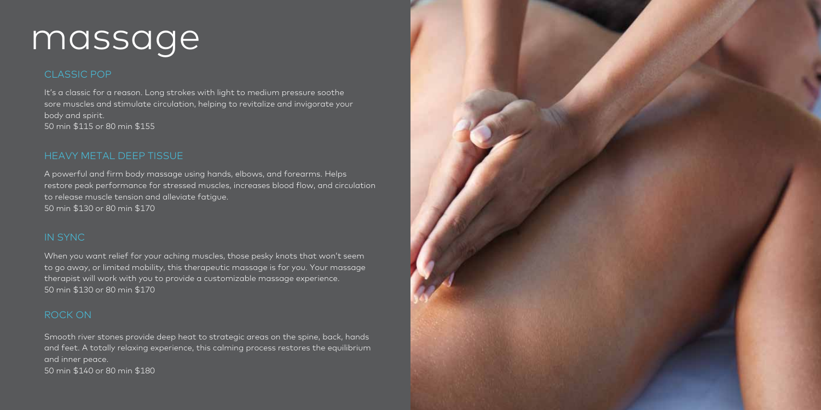### massage

#### CLASSIC POP

It's a classic for a reason. Long strokes with light to medium pressure soothe sore muscles and stimulate circulation, helping to revitalize and invigorate your body and spirit. 50 min \$115 or 80 min \$155

#### HEAVY METAL DEEP TISSUE

A powerful and firm body massage using hands, elbows, and forearms. Helps restore peak performance for stressed muscles, increases blood flow, and circulation to release muscle tension and alleviate fatigue. 50 min \$130 or 80 min \$170

#### IN SYNC

When you want relief for your aching muscles, those pesky knots that won't seem to go away, or limited mobility, this therapeutic massage is for you. Your massage therapist will work with you to provide a customizable massage experience. 50 min \$130 or 80 min \$170

#### ROCK ON

Smooth river stones provide deep heat to strategic areas on the spine, back, hands and feet. A totally relaxing experience, this calming process restores the equilibrium and inner peace. 50 min \$140 or 80 min \$180

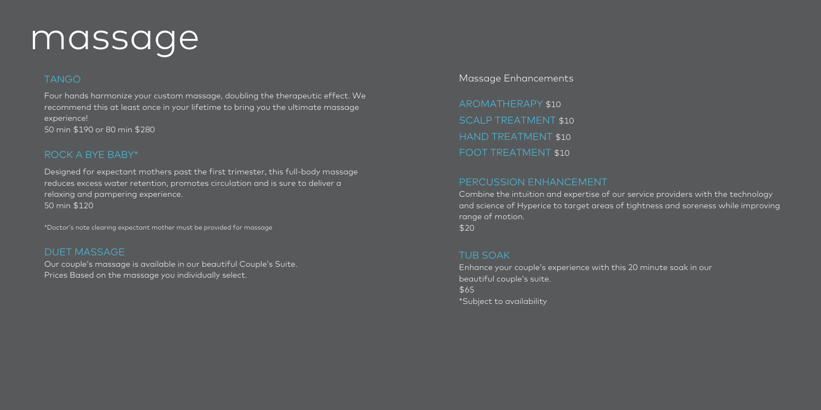### massage

#### TANGO

Four hands harmonize your custom massage, doubling the therapeutic effect. We recommend this at least once in your lifetime to bring you the ultimate massage experience! 50 min \$190 or 80 min \$280

#### ROCK A BYE BABY\*

Designed for expectant mothers past the first trimester, this full-body massage reduces excess water retention, promotes circulation and is sure to deliver a relaxing and pampering experience. 50 min \$120

\*Doctor's note clearing expectant mother must be provided for massage

#### DUET MASSAGE

Our couple's massage is available in our beautiful Couple's Suite. Prices Based on the massage you individually select.

Massage Enhancements

AROMATHERAPY \$10 SCALP TREATMENT \$10 HAND TREATMENT \$10 FOOT TREATMENT \$10

#### PERCUSSION ENHANCEMENT

Combine the intuition and expertise of our service providers with the technology and science of Hyperice to target areas of tightness and soreness while improving range of motion. \$20

#### TUB SOAK

Enhance your couple's experience with this 20 minute soak in our beautiful couple's suite. \$65 \*Subject to availability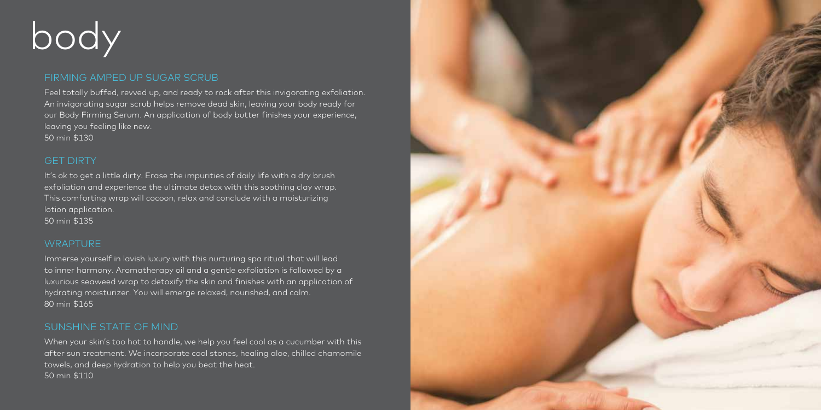## body

#### FIRMING AMPED UP SUGAR SCRUB

Feel totally buffed, revved up, and ready to rock after this invigorating exfoliation. An invigorating sugar scrub helps remove dead skin, leaving your body ready for our Body Firming Serum. An application of body butter finishes your experience, leaving you feeling like new. 50 min \$130

#### GET DIRTY

It's ok to get a little dirty. Erase the impurities of daily life with a dry brush exfoliation and experience the ultimate detox with this soothing clay wrap. This comforting wrap will cocoon, relax and conclude with a moisturizing lotion application. 50 min \$135

#### **WRAPTURE**

Immerse yourself in lavish luxury with this nurturing spa ritual that will lead to inner harmony. Aromatherapy oil and a gentle exfoliation is followed by a luxurious seaweed wrap to detoxify the skin and finishes with an application of hydrating moisturizer. You will emerge relaxed, nourished, and calm. 80 min \$165

#### SUNSHINE STATE OF MIND

When your skin's too hot to handle, we help you feel cool as a cucumber with this after sun treatment. We incorporate cool stones, healing aloe, chilled chamomile towels, and deep hydration to help you beat the heat. 50 min \$110

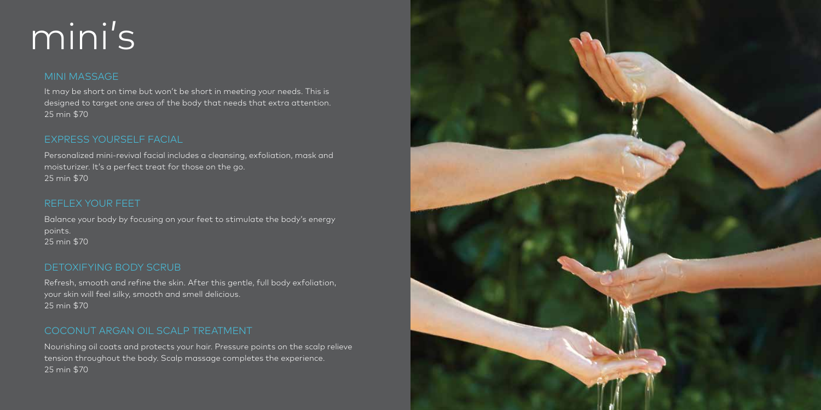## mini's

#### MINI MASSAGE

It may be short on time but won't be short in meeting your needs. This is designed to target one area of the body that needs that extra attention. 25 min \$70

#### EXPRESS YOURSELF FACIAL

Personalized mini-revival facial includes a cleansing, exfoliation, mask and moisturizer. It's a perfect treat for those on the go. 25 min \$70

#### REFLEX YOUR FEET

Balance your body by focusing on your feet to stimulate the body's energy points. 25 min \$70

#### DETOXIFYING BODY SCRUB

Refresh, smooth and refine the skin. After this gentle, full body exfoliation, your skin will feel silky, smooth and smell delicious. 25 min \$70

#### COCONUT ARGAN OIL SCALP TREATMENT

Nourishing oil coats and protects your hair. Pressure points on the scalp relieve tension throughout the body. Scalp massage completes the experience. 25 min \$70

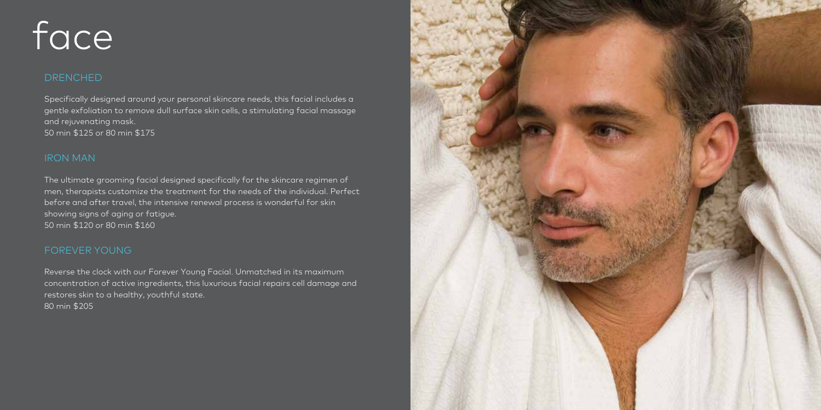## face

#### DRENCHED

Specifically designed around your personal skincare needs, this facial includes a gentle exfoliation to remove dull surface skin cells, a stimulating facial massage and rejuvenating mask. 50 min \$125 or 80 min \$175

#### IRON MAN

The ultimate grooming facial designed specifically for the skincare regimen of men, therapists customize the treatment for the needs of the individual. Perfect before and after travel, the intensive renewal process is wonderful for skin showing signs of aging or fatigue. 50 min \$120 or 80 min \$160

#### FOREVER YOUNG

Reverse the clock with our Forever Young Facial. Unmatched in its maximum concentration of active ingredients, this luxurious facial repairs cell damage and restores skin to a healthy, youthful state. 80 min \$205

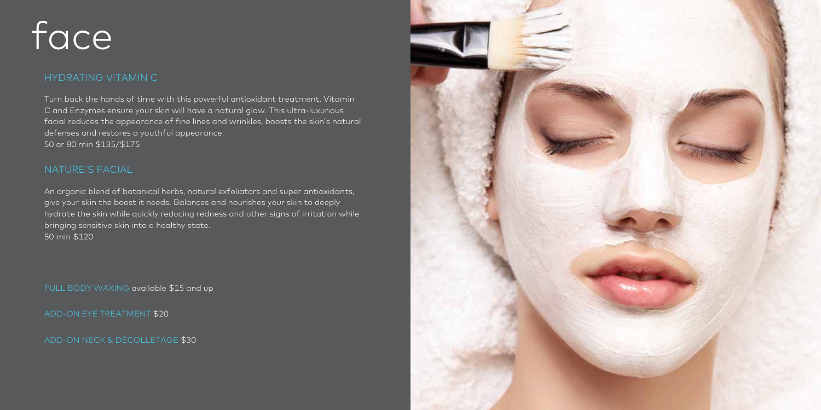## face

#### HYDRATING VITAMIN C

Turn back the hands of time with this powerful antioxidant treatment. Vitamin C and Enzymes ensure your skin will have a natural glow. This ultra-luxurious facial reduces the appearance of fine lines and wrinkles, boosts the skin's natural defenses and restores a youthful appearance. 50 or 80 min \$135/\$175

#### NATURE'S FACIAL

An organic blend of botanical herbs, natural exfoliators and super antioxidants, give your skin the boost it needs. Balances and nourishes your skin to deeply hydrate the skin while quickly reducing redness and other signs of irritation while bringing sensitive skin into a healthy state. 50 min \$120

FULL BODY WAXING available \$15 and up

ADD-ON EYE TREATMENT \$20

ADD-ON NECK & DÉCOLLETAGE \$30

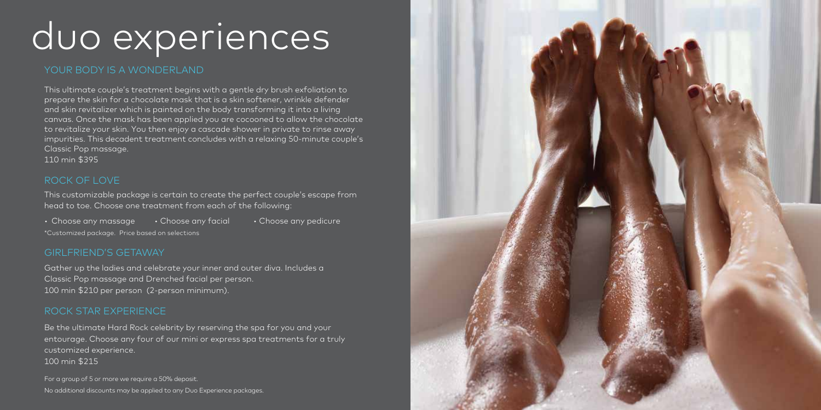### duo experiences

#### YOUR BODY IS A WONDERLAND

This ultimate couple's treatment begins with a gentle dry brush exfoliation to prepare the skin for a chocolate mask that is a skin softener, wrinkle defender and skin revitalizer which is painted on the body transforming it into a living canvas. Once the mask has been applied you are cocooned to allow the chocolate to revitalize your skin. You then enjoy a cascade shower in private to rinse away impurities. This decadent treatment concludes with a relaxing 50-minute couple's Classic Pop massage.

110 min \$395

#### ROCK OF LOVE

This customizable package is certain to create the perfect couple's escape from head to toe. Choose one treatment from each of the following:

• Choose any massage • Choose any facial • Choose any pedicure \*Customized package. Price based on selections

#### GIRLFRIEND'S GETAWAY

Gather up the ladies and celebrate your inner and outer diva. Includes a Classic Pop massage and Drenched facial per person. 100 min \$210 per person (2-person minimum).

#### ROCK STAR EXPERIENCE

Be the ultimate Hard Rock celebrity by reserving the spa for you and your entourage. Choose any four of our mini or express spa treatments for a truly customized experience. 100 min \$215

For a group of 5 or more we require a 50% deposit. No additional discounts may be applied to any Duo Experience packages.

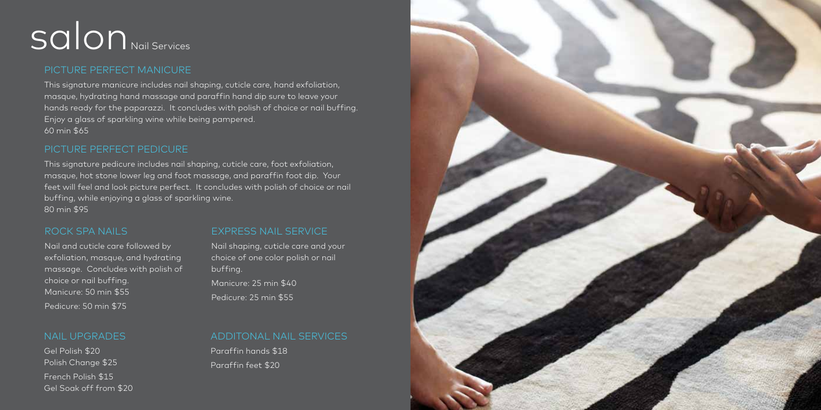## Salon Nail Services

#### PICTURE PERFECT MANICURE

This signature manicure includes nail shaping, cuticle care, hand exfoliation, masque, hydrating hand massage and paraffin hand dip sure to leave your hands ready for the paparazzi. It concludes with polish of choice or nail buffing. Enjoy a glass of sparkling wine while being pampered. 60 min \$65

#### PICTURE PERFECT PEDICURE

This signature pedicure includes nail shaping, cuticle care, foot exfoliation, masque, hot stone lower leg and foot massage, and paraffin foot dip. Your feet will feel and look picture perfect. It concludes with polish of choice or nail buffing, while enjoying a glass of sparkling wine. 80 min \$95

#### ROCK SPA NAILS

#### EXPRESS NAIL SERVICE

Nail and cuticle care followed by exfoliation, masque, and hydrating massage. Concludes with polish of choice or nail buffing. Manicure: 50 min \$55 Pedicure: 50 min \$75

#### Nail shaping, cuticle care and your choice of one color polish or nail buffing. Manicure: 25 min \$40 Pedicure: 25 min \$55

#### NAIL UPGRADES

Gel Polish \$20 Polish Change \$25 French Polish \$15 Gel Soak off from \$20 ADDITONAL NAIL SERVICES Paraffin hands \$18

Paraffin feet \$20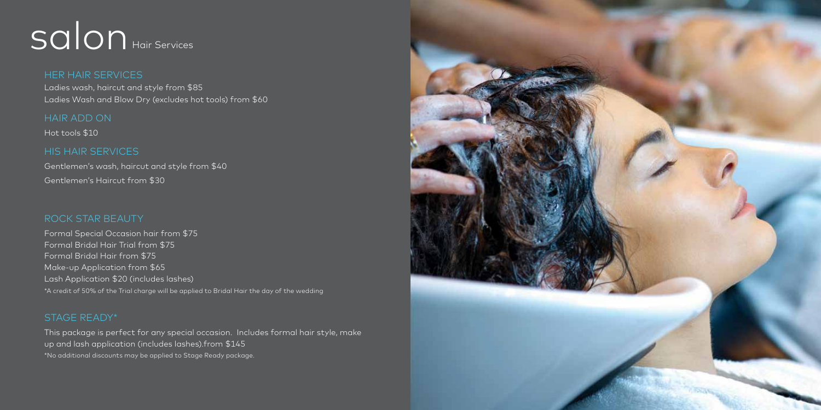### Salon Hair Services

HER HAIR SERVICES Ladies wash, haircut and style from \$85 Ladies Wash and Blow Dry (excludes hot tools) from \$60

#### HAIR ADD ON

Hot tools \$10

#### HIS HAIR SERVICES

Gentlemen's wash, haircut and style from \$40 Gentlemen's Haircut from \$30

#### ROCK STAR BEAUTY

Formal Special Occasion hair from \$75 Formal Bridal Hair Trial from \$75 Formal Bridal Hair from \$75 Make-up Application from \$65 Lash Application \$20 (includes lashes) \*A credit of 50% of the Trial charge will be applied to Bridal Hair the day of the wedding

#### STAGE READY\*

This package is perfect for any special occasion. Includes formal hair style, make up and lash application (includes lashes).from \$145 \*No additional discounts may be applied to Stage Ready package.

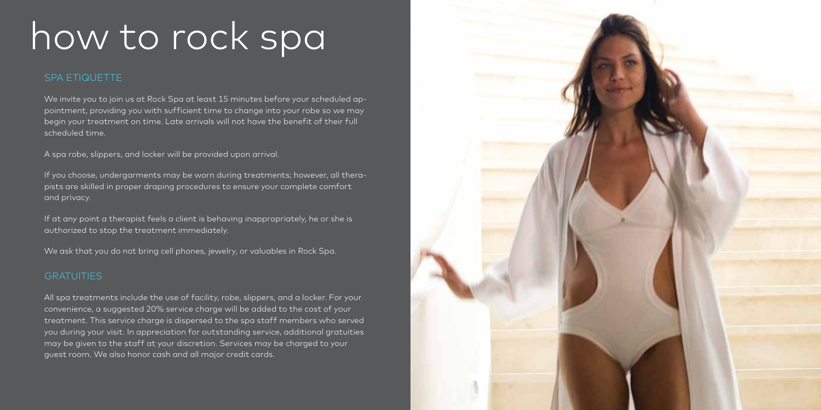### how to rock spa

#### SPA ETIQUETTE

We invite you to join us at Rock Spa at least 15 minutes before your scheduled appointment, providing you with sufficient time to change into your robe so we may begin your treatment on time. Late arrivals will not have the benefit of their full scheduled time.

A spa robe, slippers, and locker will be provided upon arrival.

If you choose, undergarments may be worn during treatments; however, all therapists are skilled in proper draping procedures to ensure your complete comfort and privacy.

If at any point a therapist feels a client is behaving inappropriately, he or she is authorized to stop the treatment immediately.

We ask that you do not bring cell phones, jewelry, or valuables in Rock Spa.

#### **GRATUITIES**

All spa treatments include the use of facility, robe, slippers, and a locker. For your convenience, a suggested 20% service charge will be added to the cost of your treatment. This service charge is dispersed to the spa staff members who served you during your visit. In appreciation for outstanding service, additional gratuities may be given to the staff at your discretion. Services may be charged to your guest room. We also honor cash and all major credit cards.